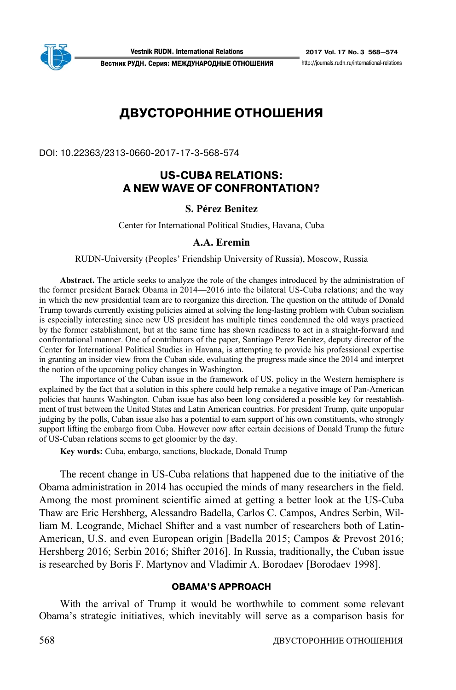

http://iournals.rudn.ru/international-relations

**Вестник РУДН. Серия: МЕЖДУНАРОДНЫЕ ОТНОШЕНИЯ** 

# **ДВУСТОРОННИЕ ОТНОШЕНИЯ**

DOI: 10.22363/2313-0660-2017-17-3-568-574

## **USCUBA RELATIONS: A NEW WAVE OF CONFRONTATION?**

### **S. Pérez Benitez**

Center for International Political Studies, Havana, Cuba

#### **A.A. Eremin**

RUDN-University (Peoples' Friendship University of Russia), Moscow, Russia

**Abstract.** The article seeks to analyze the role of the changes introduced by the administration of the former president Barack Obama in 2014—2016 into the bilateral US-Cuba relations; and the way in which the new presidential team are to reorganize this direction. The question on the attitude of Donald Trump towards currently existing policies aimed at solving the long-lasting problem with Cuban socialism is especially interesting since new US president has multiple times condemned the old ways practiced by the former establishment, but at the same time has shown readiness to act in a straight-forward and confrontational manner. One of contributors of the paper, Santiago Perez Benitez, deputy director of the Center for International Political Studies in Havana, is attempting to provide his professional expertise in granting an insider view from the Cuban side, evaluating the progress made since the 2014 and interpret the notion of the upcoming policy changes in Washington.

The importance of the Cuban issue in the framework of US. policy in the Western hemisphere is explained by the fact that a solution in this sphere could help remake a negative image of Pan-American policies that haunts Washington. Cuban issue has also been long considered a possible key for reestablishment of trust between the United States and Latin American countries. For president Trump, quite unpopular judging by the polls, Cuban issue also has a potential to earn support of his own constituents, who strongly support lifting the embargo from Cuba. However now after certain decisions of Donald Trump the future of US-Cuban relations seems to get gloomier by the day.

**Key words:** Cuba, embargo, sanctions, blockade, Donald Trump

The recent change in US-Cuba relations that happened due to the initiative of the Obama administration in 2014 has occupied the minds of many researchers in the field. Among the most prominent scientific aimed at getting a better look at the US-Cuba Thaw are Eric Hershberg, Alessandro Badella, Carlos C. Campos, Andres Serbin, William M. Leogrande, Michael Shifter and a vast number of researchers both of Latin-American, U.S. and even European origin [Badella 2015; Campos & Prevost 2016; Hershberg 2016; Serbin 2016; Shifter 2016]. In Russia, traditionally, the Cuban issue is researched by Boris F. Martynov and Vladimir A. Borodaev [Borodaev 1998].

### **OBAMA'S APPROACH**

With the arrival of Trump it would be worthwhile to comment some relevant Obama's strategic initiatives, which inevitably will serve as a comparison basis for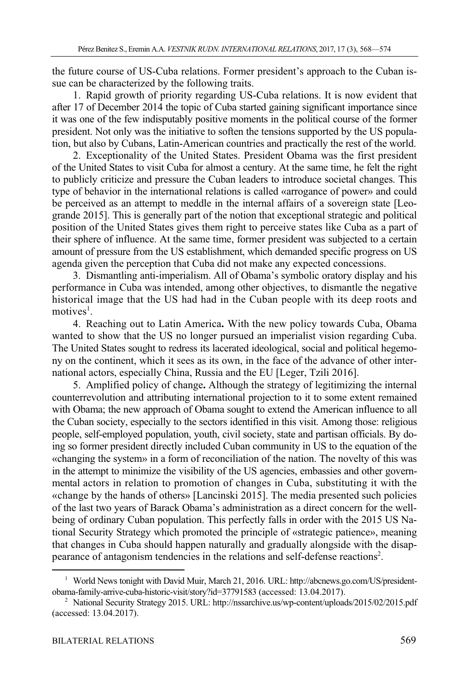the future course of US-Cuba relations. Former president's approach to the Cuban issue can be characterized by the following traits.

1. Rapid growth of priority regarding US-Cuba relations. It is now evident that after 17 of December 2014 the topic of Cuba started gaining significant importance since it was one of the few indisputably positive moments in the political course of the former president. Not only was the initiative to soften the tensions supported by the US population, but also by Cubans, Latin-American countries and practically the rest of the world.

2. Exceptionality of the United States. President Obama was the first president of the United States to visit Cuba for almost a century. At the same time, he felt the right to publicly criticize and pressure the Cuban leaders to introduce societal changes. This type of behavior in the international relations is called «arrogance of power» and could be perceived as an attempt to meddle in the internal affairs of a sovereign state [Leogrande 2015]. This is generally part of the notion that exceptional strategic and political position of the United States gives them right to perceive states like Cuba as a part of their sphere of influence. At the same time, former president was subjected to a certain amount of pressure from the US establishment, which demanded specific progress on US agenda given the perception that Cuba did not make any expected concessions.

3. Dismantling anti-imperialism. All of Obama's symbolic oratory display and his performance in Cuba was intended, among other objectives, to dismantle the negative historical image that the US had had in the Cuban people with its deep roots and motives<sup>1</sup>.

4. Reaching out to Latin America**.** With the new policy towards Cuba, Obama wanted to show that the US no longer pursued an imperialist vision regarding Cuba. The United States sought to redress its lacerated ideological, social and political hegemony on the continent, which it sees as its own, in the face of the advance of other international actors, especially China, Russia and the EU [Leger, Tzili 2016].

5. Amplified policy of change**.** Although the strategy of legitimizing the internal counterrevolution and attributing international projection to it to some extent remained with Obama; the new approach of Obama sought to extend the American influence to all the Cuban society, especially to the sectors identified in this visit. Among those: religious people, self-employed population, youth, civil society, state and partisan officials. By doing so former president directly included Cuban community in US to the equation of the «changing the system» in a form of reconciliation of the nation. The novelty of this was in the attempt to minimize the visibility of the US agencies, embassies and other governmental actors in relation to promotion of changes in Cuba, substituting it with the «change by the hands of others» [Lancinski 2015]. The media presented such policies of the last two years of Barack Obama's administration as a direct concern for the wellbeing of ordinary Cuban population. This perfectly falls in order with the 2015 US National Security Strategy which promoted the principle of «strategic patience», meaning that changes in Cuba should happen naturally and gradually alongside with the disappearance of antagonism tendencies in the relations and self-defense reactions<sup>2</sup>.

 $\overline{a}$ 

<sup>&</sup>lt;sup>1</sup> World News tonight with David Muir, March 21, 2016. URL: http://abcnews.go.com/US/presidentobama-family-arrive-cuba-historic-visit/story?id=37791583 (accessed: 13.04.2017). 2

<sup>&</sup>lt;sup>2</sup> National Security Strategy 2015. URL: http://nssarchive.us/wp-content/uploads/2015/02/2015.pdf (accessed: 13.04.2017).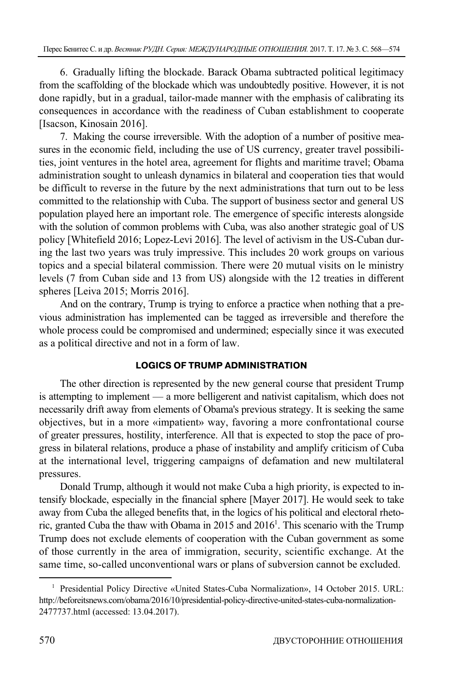6. Gradually lifting the blockade. Barack Obama subtracted political legitimacy from the scaffolding of the blockade which was undoubtedly positive. However, it is not done rapidly, but in a gradual, tailor-made manner with the emphasis of calibrating its consequences in accordance with the readiness of Cuban establishment to cooperate [Isacson, Kinosain 2016].

7. Making the course irreversible. With the adoption of a number of positive measures in the economic field, including the use of US currency, greater travel possibilities, joint ventures in the hotel area, agreement for flights and maritime travel; Obama administration sought to unleash dynamics in bilateral and cooperation ties that would be difficult to reverse in the future by the next administrations that turn out to be less committed to the relationship with Cuba. The support of business sector and general US population played here an important role. The emergence of specific interests alongside with the solution of common problems with Cuba, was also another strategic goal of US policy [Whitefield 2016; Lopez-Levi 2016]. The level of activism in the US-Cuban during the last two years was truly impressive. This includes 20 work groups on various topics and a special bilateral commission. There were 20 mutual visits on le ministry levels (7 from Cuban side and 13 from US) alongside with the 12 treaties in different spheres [Leiva 2015; Morris 2016].

And on the contrary, Trump is trying to enforce a practice when nothing that a previous administration has implemented can be tagged as irreversible and therefore the whole process could be compromised and undermined; especially since it was executed as a political directive and not in a form of law.

### **LOGICS OF TRUMP ADMINISTRATION**

The other direction is represented by the new general course that president Trump is attempting to implement — a more belligerent and nativist capitalism, which does not necessarily drift away from elements of Obama's previous strategy. It is seeking the same objectives, but in a more «impatient» way, favoring a more confrontational course of greater pressures, hostility, interference. All that is expected to stop the pace of progress in bilateral relations, produce a phase of instability and amplify criticism of Cuba at the international level, triggering campaigns of defamation and new multilateral pressures.

Donald Trump, although it would not make Cuba a high priority, is expected to intensify blockade, especially in the financial sphere [Mayer 2017]. He would seek to take away from Cuba the alleged benefits that, in the logics of his political and electoral rhetoric, granted Cuba the thaw with Obama in 2015 and  $2016<sup>1</sup>$ . This scenario with the Trump Trump does not exclude elements of cooperation with the Cuban government as some of those currently in the area of immigration, security, scientific exchange. At the same time, so-called unconventional wars or plans of subversion cannot be excluded.

<sup>&</sup>lt;sup>1</sup> Presidential Policy Directive «United States-Cuba Normalization», 14 October 2015. URL: http://beforeitsnews.com/obama/2016/10/presidential-policy-directive-united-states-cuba-normalization-2477737.html (accessed: 13.04.2017).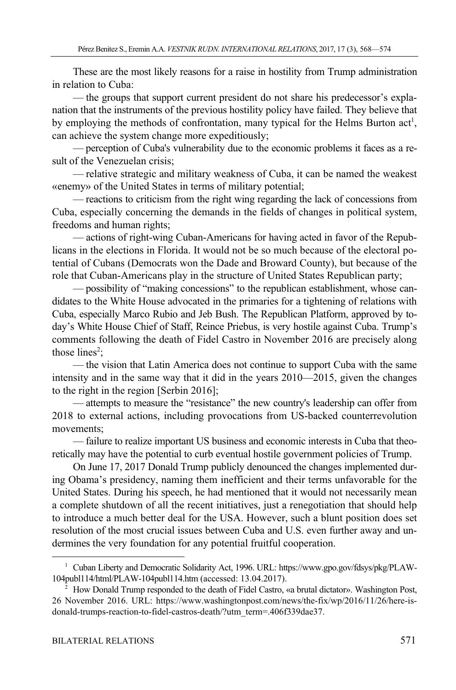These are the most likely reasons for a raise in hostility from Trump administration in relation to Cuba:

— the groups that support current president do not share his predecessor's explanation that the instruments of the previous hostility policy have failed. They believe that by employing the methods of confrontation, many typical for the Helms Burton  $act<sup>1</sup>$ , can achieve the system change more expeditiously;

— perception of Cuba's vulnerability due to the economic problems it faces as a result of the Venezuelan crisis;

— relative strategic and military weakness of Cuba, it can be named the weakest «enemy» of the United States in terms of military potential;

— reactions to criticism from the right wing regarding the lack of concessions from Cuba, especially concerning the demands in the fields of changes in political system, freedoms and human rights;

— actions of right-wing Cuban-Americans for having acted in favor of the Republicans in the elections in Florida. It would not be so much because of the electoral potential of Cubans (Democrats won the Dade and Broward County), but because of the role that Cuban-Americans play in the structure of United States Republican party;

— possibility of "making concessions" to the republican establishment, whose candidates to the White House advocated in the primaries for a tightening of relations with Cuba, especially Marco Rubio and Jeb Bush. The Republican Platform, approved by today's White House Chief of Staff, Reince Priebus, is very hostile against Cuba. Trump's comments following the death of Fidel Castro in November 2016 are precisely along those lines<sup>2</sup>;

— the vision that Latin America does not continue to support Cuba with the same intensity and in the same way that it did in the years 2010—2015, given the changes to the right in the region [Serbin 2016];

— attempts to measure the "resistance" the new country's leadership can offer from 2018 to external actions, including provocations from US-backed counterrevolution movements;

— failure to realize important US business and economic interests in Cuba that theoretically may have the potential to curb eventual hostile government policies of Trump.

On June 17, 2017 Donald Trump publicly denounced the changes implemented during Obama's presidency, naming them inefficient and their terms unfavorable for the United States. During his speech, he had mentioned that it would not necessarily mean a complete shutdown of all the recent initiatives, just a renegotiation that should help to introduce a much better deal for the USA. However, such a blunt position does set resolution of the most crucial issues between Cuba and U.S. even further away and undermines the very foundation for any potential fruitful cooperation.

 $\overline{a}$ 

<sup>&</sup>lt;sup>1</sup> Cuban Liberty and Democratic Solidarity Act, 1996. URL: https://www.gpo.gov/fdsys/pkg/PLAW-104publ114/html/PLAW-104publ114.htm (accessed: 13.04.2017). 2

How Donald Trump responded to the death of Fidel Castro, «a brutal dictator». Washington Post, 26 November 2016. URL: https://www.washingtonpost.com/news/the-fix/wp/2016/11/26/here-isdonald-trumps-reaction-to-fidel-castros-death/?utm\_term=.406f339dae37.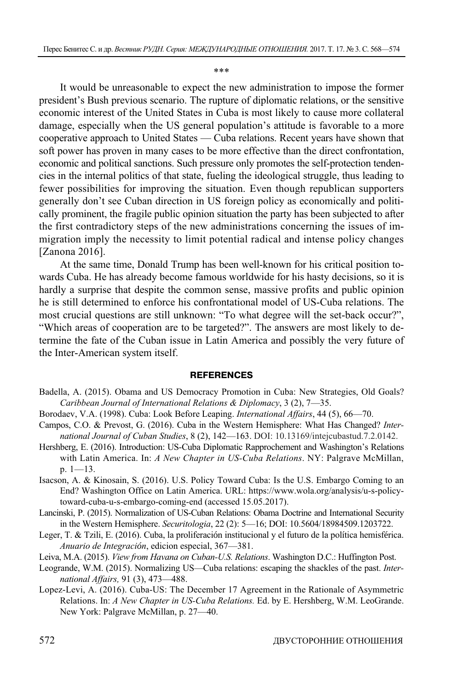\*\*\*

It would be unreasonable to expect the new administration to impose the former president's Bush previous scenario. The rupture of diplomatic relations, or the sensitive economic interest of the United States in Cuba is most likely to cause more collateral damage, especially when the US general population's attitude is favorable to a more cooperative approach to United States — Cuba relations. Recent years have shown that soft power has proven in many cases to be more effective than the direct confrontation, economic and political sanctions. Such pressure only promotes the self-protection tendencies in the internal politics of that state, fueling the ideological struggle, thus leading to fewer possibilities for improving the situation. Even though republican supporters generally don't see Cuban direction in US foreign policy as economically and politically prominent, the fragile public opinion situation the party has been subjected to after the first contradictory steps of the new administrations concerning the issues of immigration imply the necessity to limit potential radical and intense policy changes [Zanona 2016].

At the same time, Donald Trump has been well-known for his critical position towards Cuba. He has already become famous worldwide for his hasty decisions, so it is hardly a surprise that despite the common sense, massive profits and public opinion he is still determined to enforce his confrontational model of US-Cuba relations. The most crucial questions are still unknown: "To what degree will the set-back occur?", "Which areas of cooperation are to be targeted?". The answers are most likely to determine the fate of the Cuban issue in Latin America and possibly the very future of the Inter-American system itself.

#### **REFERENCES**

- Badella, A. (2015). Obama and US Democracy Promotion in Cuba: New Strategies, Old Goals? *Caribbean Journal of International Relations & Diplomacy*, 3 (2), 7—35.
- Borodaev, V.A. (1998). Cuba: Look Before Leaping. *International Affairs*, 44 (5), 66—70.
- Campos, C.O. & Prevost, G. (2016). Cuba in the Western Hemisphere: What Has Changed? *International Journal of Cuban Studies*, 8 (2), 142—163. DOI: 10.13169/intejcubastud.7.2.0142.
- Hershberg, E. (2016). Introduction: US-Cuba Diplomatic Rapprochement and Washington's Relations with Latin America. In: *A New Chapter in US-Cuba Relations*. NY: Palgrave McMillan, p. 1—13.
- Isacson, A. & Kinosain, S. (2016). U.S. Policy Toward Cuba: Is the U.S. Embargo Coming to an End? Washington Office on Latin America. URL: https://www.wola.org/analysis/u-s-policytoward-cuba-u-s-embargo-coming-end (accessed 15.05.2017).
- Lancinski, P. (2015). Normalization of US-Cuban Relations: Obama Doctrine and International Security in the Western Hemisphere. *Securitologia*, 22 (2): 5—16; DOI: 10.5604/18984509.1203722.
- Leger, T. & Tzili, E. (2016). Cuba, la proliferación institucional y el futuro de la política hemisférica. *Anuario de Integración*, edicion especial, 367—381.
- Leiva, M.A. (2015). *View from Havana on Cuban-U.S. Relations*. Washington D.C.: Huffington Post.
- Leogrande, W.M. (2015). Normalizing US—Cuba relations: escaping the shackles of the past. *International Affairs,* 91 (3), 473—488.
- Lopez-Levi, A. (2016). Cuba-US: The December 17 Agreement in the Rationale of Asymmetric Relations. In: *A New Chapter in US-Cuba Relations.* Ed. by E. Hershberg, W.M. LeoGrande. New York: Palgrave McMillan, p. 27—40.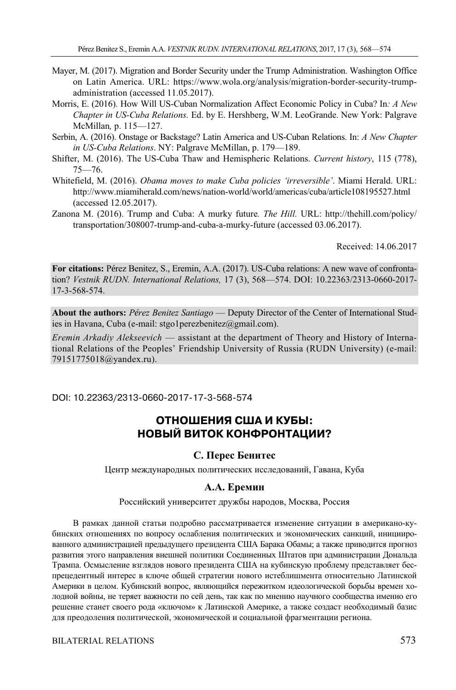- Mayer, M. (2017). Migration and Border Security under the Trump Administration. Washington Office on Latin America. URL: https://www.wola.org/analysis/migration-border-security-trumpadministration (accessed 11.05.2017).
- Morris, E. (2016). How Will US-Cuban Normalization Affect Economic Policy in Cuba? In*: A New Chapter in US-Cuba Relations.* Ed. by E. Hershberg, W.M. LeoGrande. New York: Palgrave McMillan*,* p. 115—127.
- Serbin, A. (2016). Onstage or Backstage? Latin America and US-Cuban Relations. In: *A New Chapter in US-Cuba Relations*. NY: Palgrave McMillan, p. 179—189.
- Shifter, M. (2016). The US-Cuba Thaw and Hemispheric Relations. *Current history*, 115 (778), 75—76.
- Whitefield, M. (2016). *Obama moves to make Cuba policies 'irreversible'*. Miami Herald. URL: http://www.miamiherald.com/news/nation-world/world/americas/cuba/article108195527.html (accessed 12.05.2017).
- Zanona M. (2016). Trump and Cuba: A murky future*. The Hill.* URL: http://thehill.com/policy/ transportation/308007-trump-and-cuba-a-murky-future (accessed 03.06.2017).

Received: 14.06.2017

**For citations:** Pérez Benitez, S., Eremin, A.A. (2017). US-Cuba relations: A new wave of confrontation? *Vestnik RUDN. International Relations,* 17 (3), 568—574. DOI: 10.22363/2313-0660-2017- 17-3-568-574.

**About the authors:** *Pérez Benitez Santiago* — Deputy Director of the Center of International Studies in Havana, Cuba (e-mail: stgo1perezbenitez@gmail.com).

*Eremin Arkadiy Alekseevich* — assistant at the department of Theory and History of International Relations of the Peoples' Friendship University of Russia (RUDN University) (e-mail: 79151775018@yandex.ru).

DOI: 10.22363/2313-0660-2017-17-3-568-574

## **ОТНОШЕНИЯ США И КУБЫ: НОВЫЙ ВИТОК КОНФРОНТАЦИИ?**

### **С. Перес Бенитес**

Центр международных политических исследований, Гавана, Куба

#### **А.А. Еремин**

Российский университет дружбы народов, Москва, Россия

В рамках данной статьи подробно рассматривается изменение ситуации в американо-кубинских отношениях по вопросу ослабления политических и экономических санкций, инициированного администрацией предыдущего президента США Барака Обамы; а также приводится прогноз развития этого направления внешней политики Соединенных Штатов при администрации Дональда Трампа. Осмысление взглядов нового президента США на кубинскую проблему представляет беспрецедентный интерес в ключе общей стратегии нового истеблишмента относительно Латинской Америки в целом. Кубинский вопрос, являющийся пережитком идеологической борьбы времен холодной войны, не теряет важности по сей день, так как по мнению научного сообщества именно его решение станет своего рода «ключом» к Латинской Америке, а также создаст необходимый базис для преодоления политической, экономической и социальной фрагментации региона.